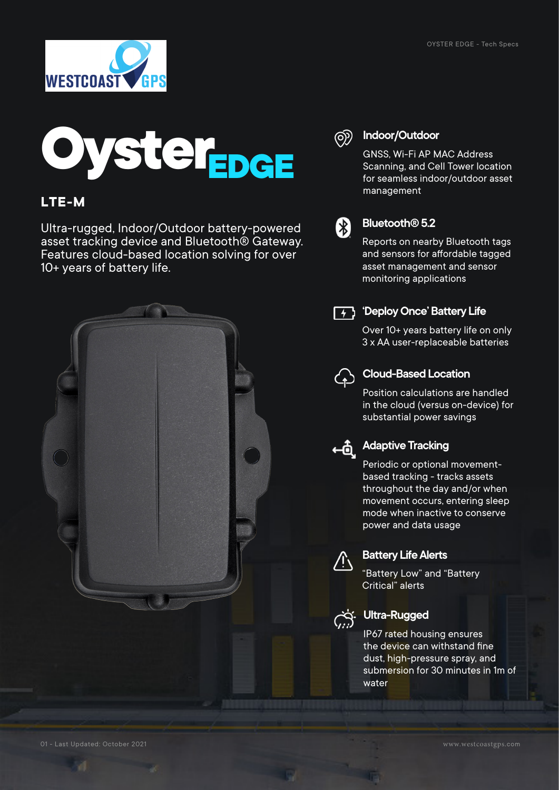



### **LTE-M**

Ultra-rugged, Indoor/Outdoor battery-powered asset tracking device and Bluetooth® Gateway. Features cloud-based location solving for over 10+ years of battery life.



#### **Indoor/Outdoor** @

Scanning, and Cell Tower location for seamless indoor/outdoor asset management



#### **Bluetooth® 5.2**

Reports on nearby Bluetooth tags and sensors for affordable tagged asset management and sensor monitoring applications



#### **'Deploy Once' Battery Life**

Over 10+ years battery life on only 3 x AA user-replaceable batteries



#### **Cloud-Based Location**

Position calculations are handled in the cloud (versus on-device) for substantial power savings



# **Adaptive Tracking**

Periodic or optional movementbased tracking - tracks assets throughout the day and/or when movement occurs, entering sleep mode when inactive to conserve power and data usage



#### **Battery Life Alerts**

"Battery Low" and "Battery Critical" alerts



#### **Ultra-Rugged**

IP67 rated housing ensures the device can withstand fine dust, high-pressure spray, and submersion for 30 minutes in 1m of water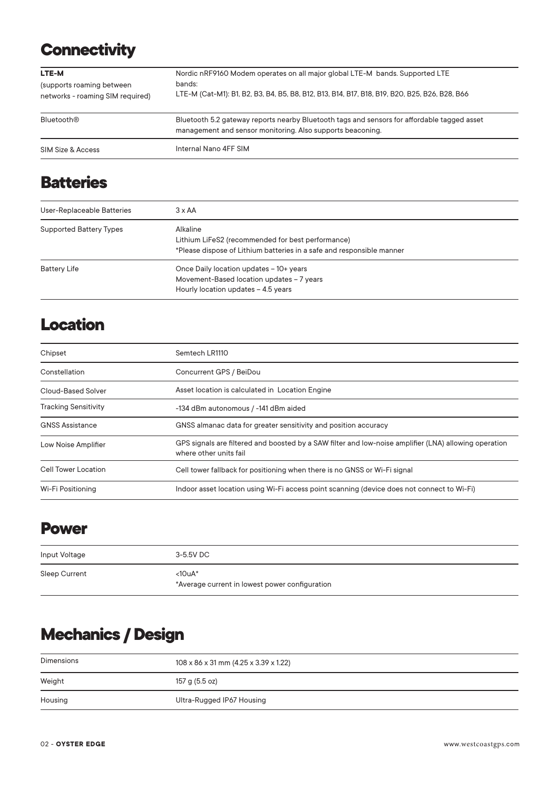# **Connectivity**

| LTE-M<br>(supports roaming between<br>networks - roaming SIM required) | Nordic nRF9160 Modem operates on all major global LTE-M bands. Supported LTE<br>bands:<br>LTE-M (Cat-M1): B1, B2, B3, B4, B5, B8, B12, B13, B14, B17, B18, B19, B20, B25, B26, B28, B66 |
|------------------------------------------------------------------------|-----------------------------------------------------------------------------------------------------------------------------------------------------------------------------------------|
| <b>Bluetooth®</b>                                                      | Bluetooth 5.2 gateway reports nearby Bluetooth tags and sensors for affordable tagged asset<br>management and sensor monitoring. Also supports beaconing.                               |
| SIM Size & Access                                                      | Internal Nano 4FF SIM                                                                                                                                                                   |

# **Batteries**

| User-Replaceable Batteries     | $3 \times AA$                                                                                                                          |
|--------------------------------|----------------------------------------------------------------------------------------------------------------------------------------|
| <b>Supported Battery Types</b> | Alkaline<br>Lithium LiFeS2 (recommended for best performance)<br>*Please dispose of Lithium batteries in a safe and responsible manner |
| <b>Battery Life</b>            | Once Daily location updates - 10+ years<br>Movement-Based location updates - 7 years<br>Hourly location updates - 4.5 years            |

### **Location**

| Chipset                     | Semtech LR1110                                                                                                                  |
|-----------------------------|---------------------------------------------------------------------------------------------------------------------------------|
| Constellation               | Concurrent GPS / BeiDou                                                                                                         |
| Cloud-Based Solver          | Asset location is calculated in Location Engine                                                                                 |
| <b>Tracking Sensitivity</b> | -134 dBm autonomous / -141 dBm aided                                                                                            |
| <b>GNSS Assistance</b>      | GNSS almanac data for greater sensitivity and position accuracy                                                                 |
| Low Noise Amplifier         | GPS signals are filtered and boosted by a SAW filter and low-noise amplifier (LNA) allowing operation<br>where other units fail |
| Cell Tower Location         | Cell tower fallback for positioning when there is no GNSS or Wi-Fi signal                                                       |
| Wi-Fi Positioning           | Indoor asset location using Wi-Fi access point scanning (device does not connect to Wi-Fi)                                      |

### **Power**

| Input Voltage | 3-5.5V DC                                                  |
|---------------|------------------------------------------------------------|
| Sleep Current | $<10uA*$<br>*Average current in lowest power configuration |

# **Mechanics / Design**

| Dimensions | $108 \times 86 \times 31$ mm (4.25 x 3.39 x 1.22) |
|------------|---------------------------------------------------|
| Weight     | 157 g (5.5 oz)                                    |
| Housing    | Ultra-Rugged IP67 Housing                         |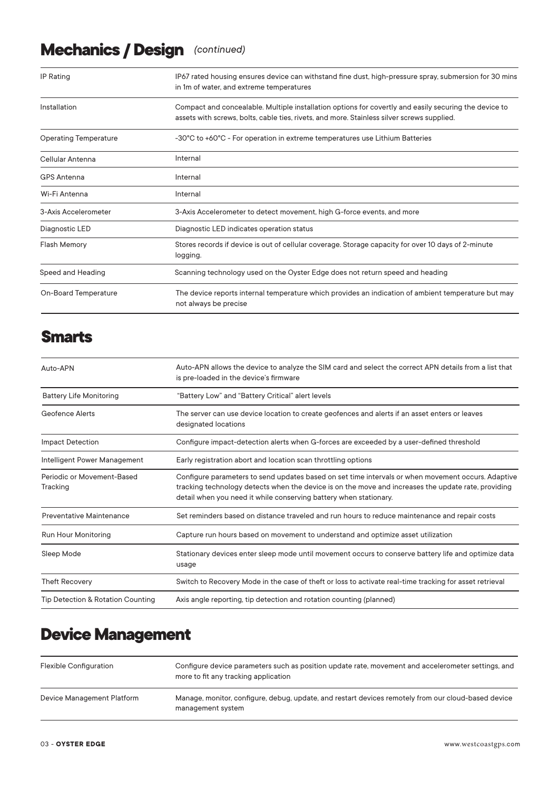# **Mechanics / Design** *(continued)*

| IP Rating                    | IP67 rated housing ensures device can withstand fine dust, high-pressure spray, submersion for 30 mins<br>in 1m of water, and extreme temperatures                                                  |
|------------------------------|-----------------------------------------------------------------------------------------------------------------------------------------------------------------------------------------------------|
| Installation                 | Compact and concealable. Multiple installation options for covertly and easily securing the device to<br>assets with screws, bolts, cable ties, rivets, and more. Stainless silver screws supplied. |
| <b>Operating Temperature</b> | -30°C to +60°C - For operation in extreme temperatures use Lithium Batteries                                                                                                                        |
| Cellular Antenna             | Internal                                                                                                                                                                                            |
| <b>GPS Antenna</b>           | Internal                                                                                                                                                                                            |
| Wi-Fi Antenna                | Internal                                                                                                                                                                                            |
| 3-Axis Accelerometer         | 3-Axis Accelerometer to detect movement, high G-force events, and more                                                                                                                              |
| Diagnostic LED               | Diagnostic LED indicates operation status                                                                                                                                                           |
| <b>Flash Memory</b>          | Stores records if device is out of cellular coverage. Storage capacity for over 10 days of 2-minute<br>logging.                                                                                     |
| Speed and Heading            | Scanning technology used on the Oyster Edge does not return speed and heading                                                                                                                       |
| On-Board Temperature         | The device reports internal temperature which provides an indication of ambient temperature but may<br>not always be precise                                                                        |

### **Smarts**

| Auto-APN                               | Auto-APN allows the device to analyze the SIM card and select the correct APN details from a list that<br>is pre-loaded in the device's firmware                                                                                                                               |
|----------------------------------------|--------------------------------------------------------------------------------------------------------------------------------------------------------------------------------------------------------------------------------------------------------------------------------|
| <b>Battery Life Monitoring</b>         | "Battery Low" and "Battery Critical" alert levels                                                                                                                                                                                                                              |
| Geofence Alerts                        | The server can use device location to create geofences and alerts if an asset enters or leaves<br>designated locations                                                                                                                                                         |
| <b>Impact Detection</b>                | Configure impact-detection alerts when G-forces are exceeded by a user-defined threshold                                                                                                                                                                                       |
| Intelligent Power Management           | Early registration abort and location scan throttling options                                                                                                                                                                                                                  |
| Periodic or Movement-Based<br>Tracking | Configure parameters to send updates based on set time intervals or when movement occurs. Adaptive<br>tracking technology detects when the device is on the move and increases the update rate, providing<br>detail when you need it while conserving battery when stationary. |
| <b>Preventative Maintenance</b>        | Set reminders based on distance traveled and run hours to reduce maintenance and repair costs                                                                                                                                                                                  |
| Run Hour Monitoring                    | Capture run hours based on movement to understand and optimize asset utilization                                                                                                                                                                                               |
| Sleep Mode                             | Stationary devices enter sleep mode until movement occurs to conserve battery life and optimize data<br>usage                                                                                                                                                                  |
| <b>Theft Recovery</b>                  | Switch to Recovery Mode in the case of theft or loss to activate real-time tracking for asset retrieval                                                                                                                                                                        |
| Tip Detection & Rotation Counting      | Axis angle reporting, tip detection and rotation counting (planned)                                                                                                                                                                                                            |

## **Device Management**

| <b>Flexible Configuration</b> | Configure device parameters such as position update rate, movement and accelerometer settings, and<br>more to fit any tracking application |
|-------------------------------|--------------------------------------------------------------------------------------------------------------------------------------------|
| Device Management Platform    | Manage, monitor, configure, debug, update, and restart devices remotely from our cloud-based device<br>management system                   |